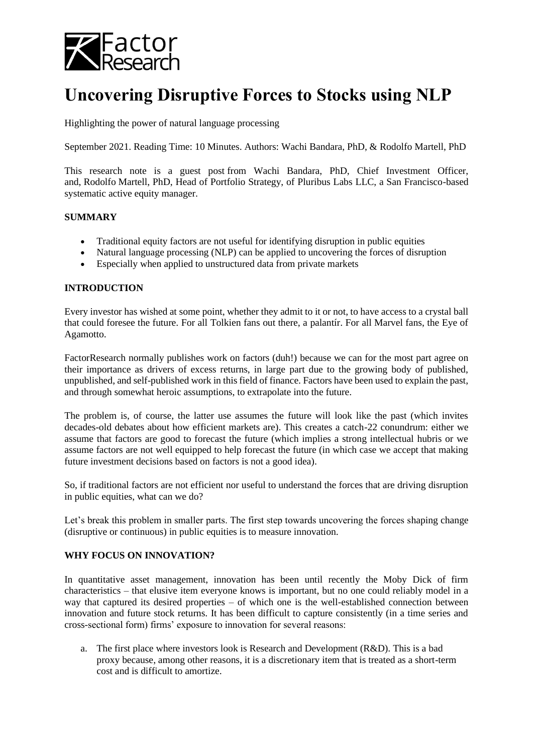

# **Uncovering Disruptive Forces to Stocks using NLP**

Highlighting the power of natural language processing

September 2021. Reading Time: 10 Minutes. Authors: Wachi Bandara, PhD, & Rodolfo Martell, PhD

This research note is a guest post from Wachi Bandara, PhD, Chief Investment Officer, and, Rodolfo Martell, PhD, Head of Portfolio Strategy, of Pluribus Labs LLC, a San Francisco-based systematic active equity manager.

### **SUMMARY**

- Traditional equity factors are not useful for identifying disruption in public equities
- Natural language processing (NLP) can be applied to uncovering the forces of disruption
- Especially when applied to unstructured data from private markets

### **INTRODUCTION**

Every investor has wished at some point, whether they admit to it or not, to have access to a crystal ball that could foresee the future. For all Tolkien fans out there, a palantír. For all Marvel fans, the Eye of Agamotto.

FactorResearch normally publishes work on factors (duh!) because we can for the most part agree on their importance as drivers of excess returns, in large part due to the growing body of published, unpublished, and self-published work in this field of finance. Factors have been used to explain the past, and through somewhat heroic assumptions, to extrapolate into the future.

The problem is, of course, the latter use assumes the future will look like the past (which invites decades-old debates about how efficient markets are). This creates a catch-22 conundrum: either we assume that factors are good to forecast the future (which implies a strong intellectual hubris or we assume factors are not well equipped to help forecast the future (in which case we accept that making future investment decisions based on factors is not a good idea).

So, if traditional factors are not efficient nor useful to understand the forces that are driving disruption in public equities, what can we do?

Let's break this problem in smaller parts. The first step towards uncovering the forces shaping change (disruptive or continuous) in public equities is to measure innovation.

## **WHY FOCUS ON INNOVATION?**

In quantitative asset management, innovation has been until recently the Moby Dick of firm characteristics – that elusive item everyone knows is important, but no one could reliably model in a way that captured its desired properties – of which one is the well-established connection between innovation and future stock returns. It has been difficult to capture consistently (in a time series and cross-sectional form) firms' exposure to innovation for several reasons:

a. The first place where investors look is Research and Development (R&D). This is a bad proxy because, among other reasons, it is a discretionary item that is treated as a short-term cost and is difficult to amortize.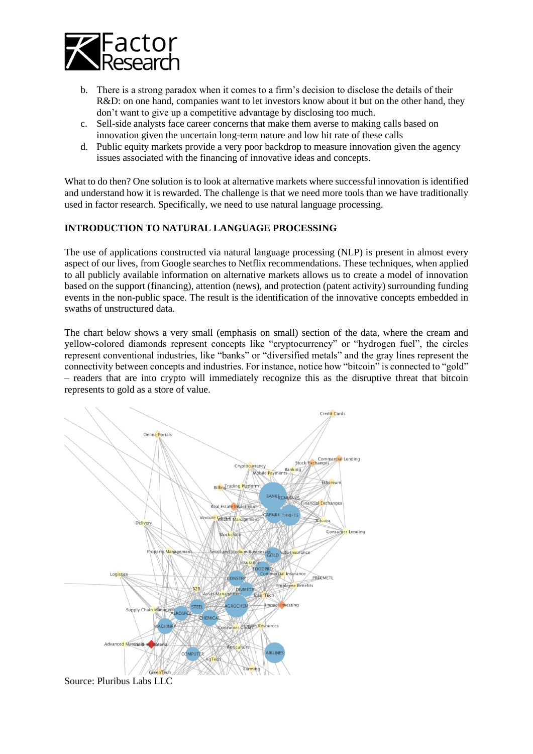

- b. There is a strong paradox when it comes to a firm's decision to disclose the details of their R&D: on one hand, companies want to let investors know about it but on the other hand, they don't want to give up a competitive advantage by disclosing too much.
- c. Sell-side analysts face career concerns that make them averse to making calls based on innovation given the uncertain long-term nature and low hit rate of these calls
- d. Public equity markets provide a very poor backdrop to measure innovation given the agency issues associated with the financing of innovative ideas and concepts.

What to do then? One solution is to look at alternative markets where successful innovation is identified and understand how it is rewarded. The challenge is that we need more tools than we have traditionally used in factor research. Specifically, we need to use natural language processing.

## **INTRODUCTION TO NATURAL LANGUAGE PROCESSING**

The use of applications constructed via natural language processing (NLP) is present in almost every aspect of our lives, from Google searches to Netflix recommendations. These techniques, when applied to all publicly available information on alternative markets allows us to create a model of innovation based on the support (financing), attention (news), and protection (patent activity) surrounding funding events in the non-public space. The result is the identification of the innovative concepts embedded in swaths of unstructured data.

The chart below shows a very small (emphasis on small) section of the data, where the cream and yellow-colored diamonds represent concepts like "cryptocurrency" or "hydrogen fuel", the circles represent conventional industries, like "banks" or "diversified metals" and the gray lines represent the connectivity between concepts and industries. For instance, notice how "bitcoin" is connected to "gold" – readers that are into crypto will immediately recognize this as the disruptive threat that bitcoin represents to gold as a store of value.



Source: Pluribus Labs LLC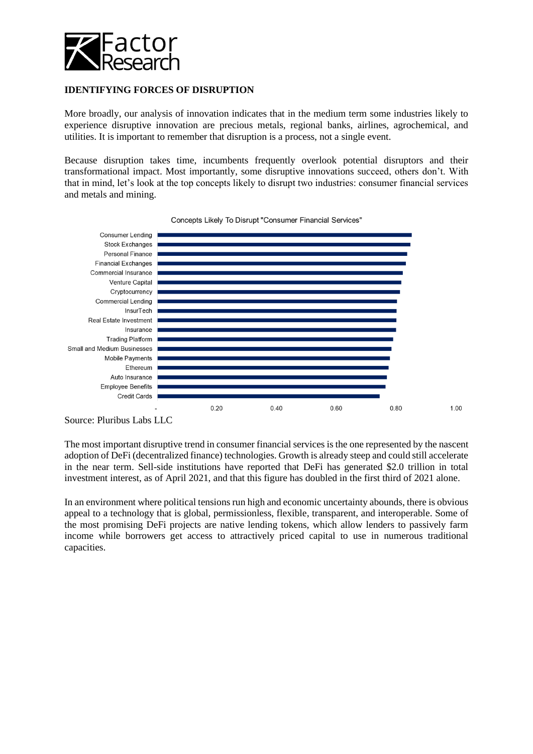

## **IDENTIFYING FORCES OF DISRUPTION**

More broadly, our analysis of innovation indicates that in the medium term some industries likely to experience disruptive innovation are precious metals, regional banks, airlines, agrochemical, and utilities. It is important to remember that disruption is a process, not a single event.

Because disruption takes time, incumbents frequently overlook potential disruptors and their transformational impact. Most importantly, some disruptive innovations succeed, others don't. With that in mind, let's look at the top concepts likely to disrupt two industries: consumer financial services and metals and mining.



Concepts Likely To Disrupt "Consumer Financial Services"

Source: Pluribus Labs LLC

The most important disruptive trend in consumer financial services is the one represented by the nascent adoption of DeFi (decentralized finance) technologies. Growth is already steep and could still accelerate in the near term. Sell-side institutions have reported that DeFi has generated \$2.0 trillion in total investment interest, as of April 2021, and that this figure has doubled in the first third of 2021 alone.

In an environment where political tensions run high and economic uncertainty abounds, there is obvious appeal to a technology that is global, permissionless, flexible, transparent, and interoperable. Some of the most promising DeFi projects are native lending tokens, which allow lenders to passively farm income while borrowers get access to attractively priced capital to use in numerous traditional capacities.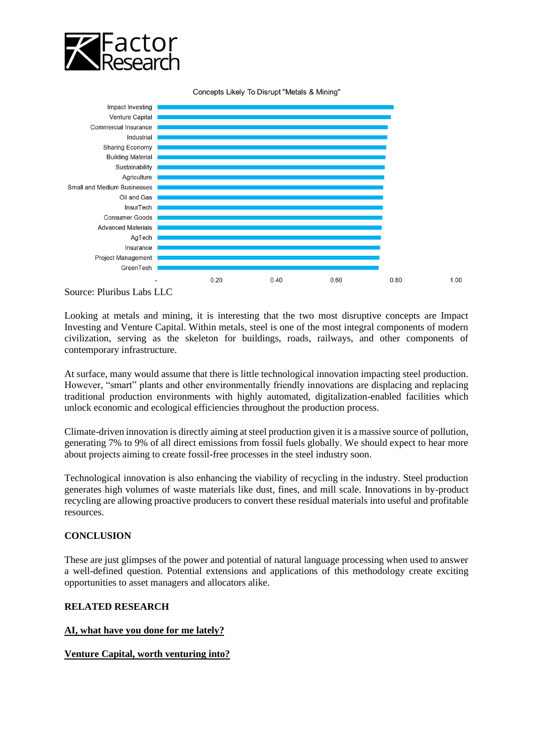

Concepts Likely To Disrupt "Metals & Mining"



Source: Pluribus Labs LLC

Looking at metals and mining, it is interesting that the two most disruptive concepts are Impact Investing and Venture Capital. Within metals, steel is one of the most integral components of modern civilization, serving as the skeleton for buildings, roads, railways, and other components of contemporary infrastructure.

At surface, many would assume that there is little technological innovation impacting steel production. However, "smart" plants and other environmentally friendly innovations are displacing and replacing traditional production environments with highly automated, digitalization-enabled facilities which unlock economic and ecological efficiencies throughout the production process.

Climate-driven innovation is directly aiming at steel production given it is a massive source of pollution, generating 7% to 9% of all direct emissions from fossil fuels globally. We should expect to hear more about projects aiming to create fossil-free processes in the steel industry soon.

Technological innovation is also enhancing the viability of recycling in the industry. Steel production generates high volumes of waste materials like dust, fines, and mill scale. Innovations in by-product recycling are allowing proactive producers to convert these residual materials into useful and profitable resources.

## **CONCLUSION**

These are just glimpses of the power and potential of natural language processing when used to answer a well-defined question. Potential extensions and applications of this methodology create exciting opportunities to asset managers and allocators alike.

### **RELATED RESEARCH**

### **[AI, what have you done for me lately?](https://insights.factorresearch.com/research-ai-what-have-you-done-for-me-lately/)**

### **[Venture Capital, worth venturing into?](https://insights.factorresearch.com/research-venture-capital-worth-venturing-into/)**